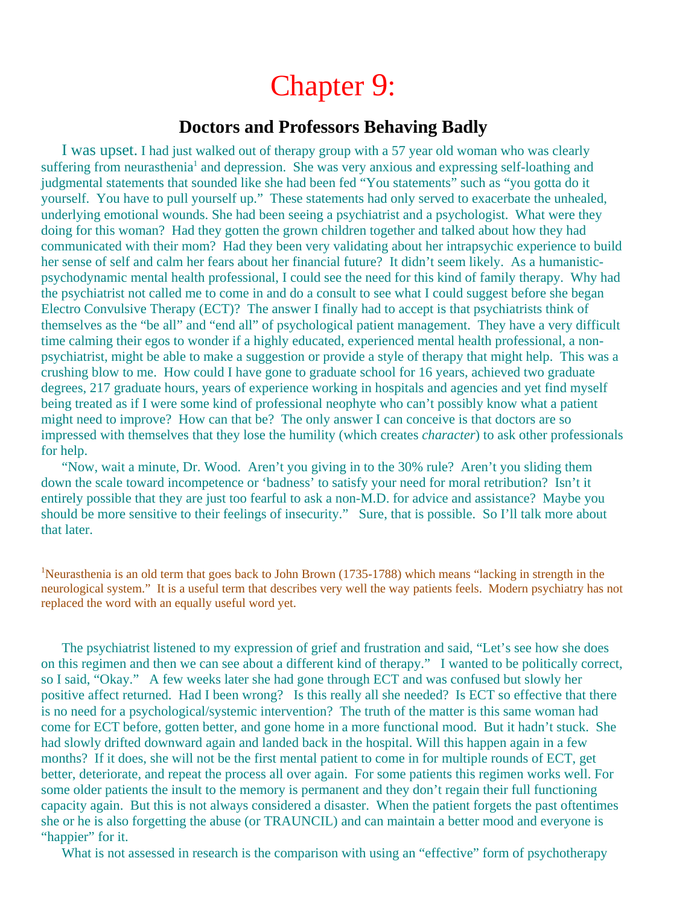# Chapter 9:

# **Doctors and Professors Behaving Badly**

 I was upset. I had just walked out of therapy group with a 57 year old woman who was clearly suffering from neurasthenia<sup>1</sup> and depression. She was very anxious and expressing self-loathing and judgmental statements that sounded like she had been fed "You statements" such as "you gotta do it yourself. You have to pull yourself up." These statements had only served to exacerbate the unhealed, underlying emotional wounds. She had been seeing a psychiatrist and a psychologist. What were they doing for this woman? Had they gotten the grown children together and talked about how they had communicated with their mom? Had they been very validating about her intrapsychic experience to build her sense of self and calm her fears about her financial future? It didn't seem likely. As a humanisticpsychodynamic mental health professional, I could see the need for this kind of family therapy. Why had the psychiatrist not called me to come in and do a consult to see what I could suggest before she began Electro Convulsive Therapy (ECT)? The answer I finally had to accept is that psychiatrists think of themselves as the "be all" and "end all" of psychological patient management. They have a very difficult time calming their egos to wonder if a highly educated, experienced mental health professional, a nonpsychiatrist, might be able to make a suggestion or provide a style of therapy that might help. This was a crushing blow to me. How could I have gone to graduate school for 16 years, achieved two graduate degrees, 217 graduate hours, years of experience working in hospitals and agencies and yet find myself being treated as if I were some kind of professional neophyte who can't possibly know what a patient might need to improve? How can that be? The only answer I can conceive is that doctors are so impressed with themselves that they lose the humility (which creates *character*) to ask other professionals for help.

"Now, wait a minute, Dr. Wood. Aren't you giving in to the 30% rule? Aren't you sliding them down the scale toward incompetence or 'badness' to satisfy your need for moral retribution? Isn't it entirely possible that they are just too fearful to ask a non-M.D. for advice and assistance? Maybe you should be more sensitive to their feelings of insecurity." Sure, that is possible. So I'll talk more about that later.

<sup>1</sup>Neurasthenia is an old term that goes back to John Brown (1735-1788) which means "lacking in strength in the neurological system." It is a useful term that describes very well the way patients feels. Modern psychiatry has not replaced the word with an equally useful word yet.

 The psychiatrist listened to my expression of grief and frustration and said, "Let's see how she does on this regimen and then we can see about a different kind of therapy." I wanted to be politically correct, so I said, "Okay." A few weeks later she had gone through ECT and was confused but slowly her positive affect returned. Had I been wrong? Is this really all she needed? Is ECT so effective that there is no need for a psychological/systemic intervention? The truth of the matter is this same woman had come for ECT before, gotten better, and gone home in a more functional mood. But it hadn't stuck. She had slowly drifted downward again and landed back in the hospital. Will this happen again in a few months? If it does, she will not be the first mental patient to come in for multiple rounds of ECT, get better, deteriorate, and repeat the process all over again. For some patients this regimen works well. For some older patients the insult to the memory is permanent and they don't regain their full functioning capacity again. But this is not always considered a disaster. When the patient forgets the past oftentimes she or he is also forgetting the abuse (or TRAUNCIL) and can maintain a better mood and everyone is "happier" for it.

What is not assessed in research is the comparison with using an "effective" form of psychotherapy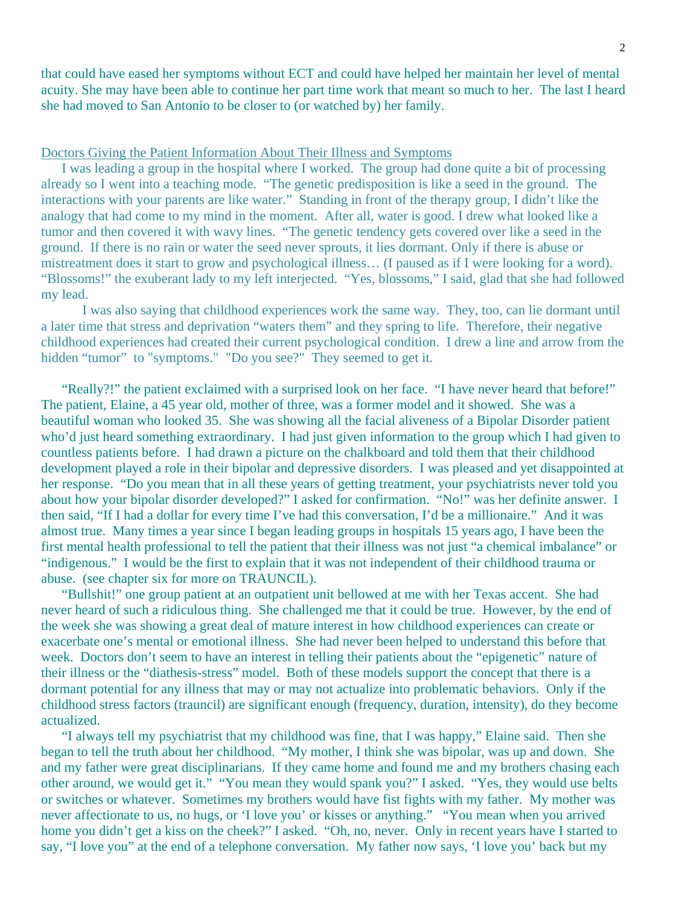that could have eased her symptoms without ECT and could have helped her maintain her level of mental acuity. She may have been able to continue her part time work that meant so much to her. The last I heard she had moved to San Antonio to be closer to (or watched by) her family.

# Doctors Giving the Patient Information About Their Illness and Symptoms

 I was leading a group in the hospital where I worked. The group had done quite a bit of processing already so I went into a teaching mode. "The genetic predisposition is like a seed in the ground. The interactions with your parents are like water." Standing in front of the therapy group, I didn't like the analogy that had come to my mind in the moment. After all, water is good. I drew what looked like a tumor and then covered it with wavy lines. "The genetic tendency gets covered over like a seed in the ground. If there is no rain or water the seed never sprouts, it lies dormant. Only if there is abuse or mistreatment does it start to grow and psychological illness… (I paused as if I were looking for a word). "Blossoms!" the exuberant lady to my left interjected. "Yes, blossoms," I said, glad that she had followed my lead.

 I was also saying that childhood experiences work the same way. They, too, can lie dormant until a later time that stress and deprivation "waters them" and they spring to life. Therefore, their negative childhood experiences had created their current psychological condition. I drew a line and arrow from the hidden "tumor" to "symptoms." "Do you see?" They seemed to get it.

 "Really?!" the patient exclaimed with a surprised look on her face. "I have never heard that before!" The patient, Elaine, a 45 year old, mother of three, was a former model and it showed. She was a beautiful woman who looked 35. She was showing all the facial aliveness of a Bipolar Disorder patient who'd just heard something extraordinary. I had just given information to the group which I had given to countless patients before. I had drawn a picture on the chalkboard and told them that their childhood development played a role in their bipolar and depressive disorders. I was pleased and yet disappointed at her response. "Do you mean that in all these years of getting treatment, your psychiatrists never told you about how your bipolar disorder developed?" I asked for confirmation. "No!" was her definite answer. I then said, "If I had a dollar for every time I've had this conversation, I'd be a millionaire." And it was almost true. Many times a year since I began leading groups in hospitals 15 years ago, I have been the first mental health professional to tell the patient that their illness was not just "a chemical imbalance" or "indigenous." I would be the first to explain that it was not independent of their childhood trauma or abuse. (see chapter six for more on TRAUNCIL).

 "Bullshit!" one group patient at an outpatient unit bellowed at me with her Texas accent. She had never heard of such a ridiculous thing. She challenged me that it could be true. However, by the end of the week she was showing a great deal of mature interest in how childhood experiences can create or exacerbate one's mental or emotional illness. She had never been helped to understand this before that week. Doctors don't seem to have an interest in telling their patients about the "epigenetic" nature of their illness or the "diathesis-stress" model. Both of these models support the concept that there is a dormant potential for any illness that may or may not actualize into problematic behaviors. Only if the childhood stress factors (trauncil) are significant enough (frequency, duration, intensity), do they become actualized.

 "I always tell my psychiatrist that my childhood was fine, that I was happy," Elaine said. Then she began to tell the truth about her childhood. "My mother, I think she was bipolar, was up and down. She and my father were great disciplinarians. If they came home and found me and my brothers chasing each other around, we would get it." "You mean they would spank you?" I asked. "Yes, they would use belts or switches or whatever. Sometimes my brothers would have fist fights with my father. My mother was never affectionate to us, no hugs, or 'I love you' or kisses or anything." "You mean when you arrived home you didn't get a kiss on the cheek?" I asked. "Oh, no, never. Only in recent years have I started to say, "I love you" at the end of a telephone conversation. My father now says, 'I love you' back but my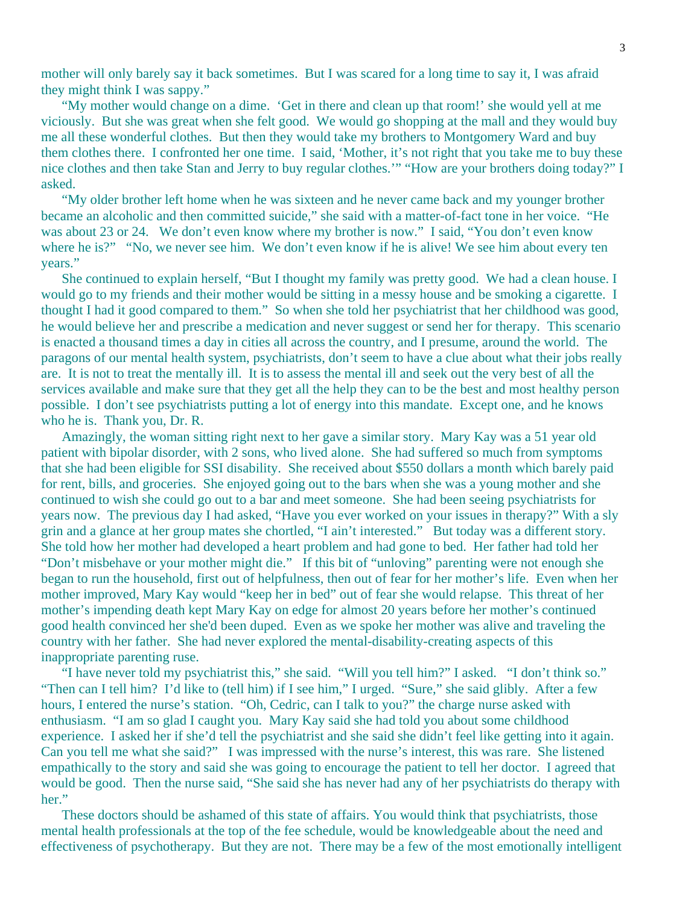mother will only barely say it back sometimes. But I was scared for a long time to say it, I was afraid they might think I was sappy."

 "My mother would change on a dime. 'Get in there and clean up that room!' she would yell at me viciously. But she was great when she felt good. We would go shopping at the mall and they would buy me all these wonderful clothes. But then they would take my brothers to Montgomery Ward and buy them clothes there. I confronted her one time. I said, 'Mother, it's not right that you take me to buy these nice clothes and then take Stan and Jerry to buy regular clothes.'" "How are your brothers doing today?" I asked.

 "My older brother left home when he was sixteen and he never came back and my younger brother became an alcoholic and then committed suicide," she said with a matter-of-fact tone in her voice. "He was about 23 or 24. We don't even know where my brother is now." I said, "You don't even know where he is?" "No, we never see him. We don't even know if he is alive! We see him about every ten years."

 She continued to explain herself, "But I thought my family was pretty good. We had a clean house. I would go to my friends and their mother would be sitting in a messy house and be smoking a cigarette. I thought I had it good compared to them." So when she told her psychiatrist that her childhood was good, he would believe her and prescribe a medication and never suggest or send her for therapy. This scenario is enacted a thousand times a day in cities all across the country, and I presume, around the world. The paragons of our mental health system, psychiatrists, don't seem to have a clue about what their jobs really are. It is not to treat the mentally ill. It is to assess the mental ill and seek out the very best of all the services available and make sure that they get all the help they can to be the best and most healthy person possible. I don't see psychiatrists putting a lot of energy into this mandate. Except one, and he knows who he is. Thank you, Dr. R.

 Amazingly, the woman sitting right next to her gave a similar story. Mary Kay was a 51 year old patient with bipolar disorder, with 2 sons, who lived alone. She had suffered so much from symptoms that she had been eligible for SSI disability. She received about \$550 dollars a month which barely paid for rent, bills, and groceries. She enjoyed going out to the bars when she was a young mother and she continued to wish she could go out to a bar and meet someone. She had been seeing psychiatrists for years now. The previous day I had asked, "Have you ever worked on your issues in therapy?" With a sly grin and a glance at her group mates she chortled, "I ain't interested." But today was a different story. She told how her mother had developed a heart problem and had gone to bed. Her father had told her "Don't misbehave or your mother might die." If this bit of "unloving" parenting were not enough she began to run the household, first out of helpfulness, then out of fear for her mother's life. Even when her mother improved, Mary Kay would "keep her in bed" out of fear she would relapse. This threat of her mother's impending death kept Mary Kay on edge for almost 20 years before her mother's continued good health convinced her she'd been duped. Even as we spoke her mother was alive and traveling the country with her father. She had never explored the mental-disability-creating aspects of this inappropriate parenting ruse.

 "I have never told my psychiatrist this," she said. "Will you tell him?" I asked. "I don't think so." "Then can I tell him? I'd like to (tell him) if I see him," I urged. "Sure," she said glibly. After a few hours, I entered the nurse's station. "Oh, Cedric, can I talk to you?" the charge nurse asked with enthusiasm. "I am so glad I caught you. Mary Kay said she had told you about some childhood experience. I asked her if she'd tell the psychiatrist and she said she didn't feel like getting into it again. Can you tell me what she said?" I was impressed with the nurse's interest, this was rare. She listened empathically to the story and said she was going to encourage the patient to tell her doctor. I agreed that would be good. Then the nurse said, "She said she has never had any of her psychiatrists do therapy with her."

 These doctors should be ashamed of this state of affairs. You would think that psychiatrists, those mental health professionals at the top of the fee schedule, would be knowledgeable about the need and effectiveness of psychotherapy. But they are not. There may be a few of the most emotionally intelligent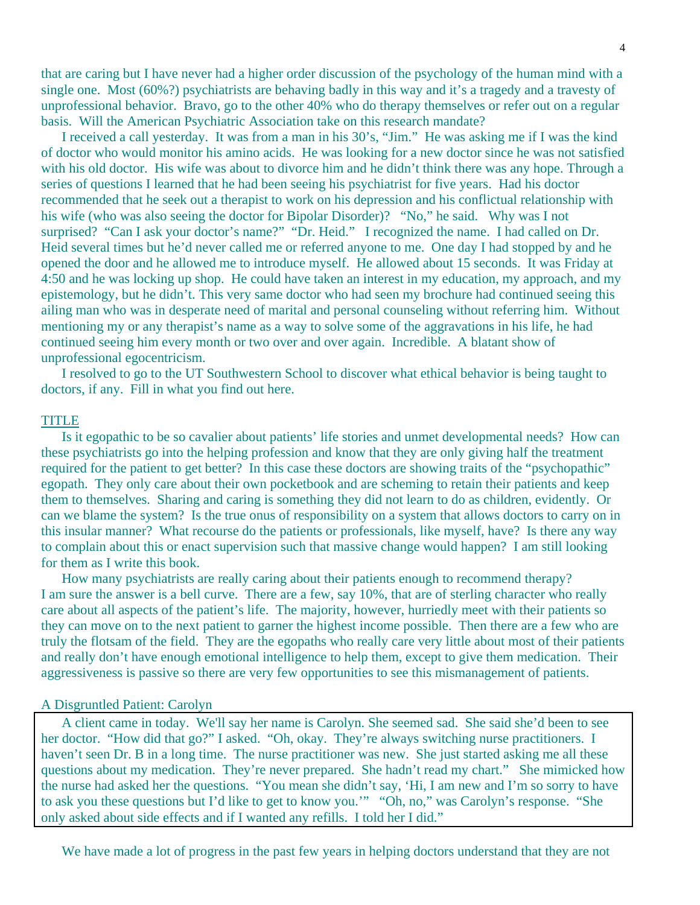that are caring but I have never had a higher order discussion of the psychology of the human mind with a single one. Most (60%?) psychiatrists are behaving badly in this way and it's a tragedy and a travesty of unprofessional behavior. Bravo, go to the other 40% who do therapy themselves or refer out on a regular basis. Will the American Psychiatric Association take on this research mandate?

 I received a call yesterday. It was from a man in his 30's, "Jim." He was asking me if I was the kind of doctor who would monitor his amino acids. He was looking for a new doctor since he was not satisfied with his old doctor. His wife was about to divorce him and he didn't think there was any hope. Through a series of questions I learned that he had been seeing his psychiatrist for five years. Had his doctor recommended that he seek out a therapist to work on his depression and his conflictual relationship with his wife (who was also seeing the doctor for Bipolar Disorder)? "No," he said. Why was I not surprised? "Can I ask your doctor's name?" "Dr. Heid." I recognized the name. I had called on Dr. Heid several times but he'd never called me or referred anyone to me. One day I had stopped by and he opened the door and he allowed me to introduce myself. He allowed about 15 seconds. It was Friday at 4:50 and he was locking up shop. He could have taken an interest in my education, my approach, and my epistemology, but he didn't. This very same doctor who had seen my brochure had continued seeing this ailing man who was in desperate need of marital and personal counseling without referring him. Without mentioning my or any therapist's name as a way to solve some of the aggravations in his life, he had continued seeing him every month or two over and over again. Incredible. A blatant show of unprofessional egocentricism.

 I resolved to go to the UT Southwestern School to discover what ethical behavior is being taught to doctors, if any. Fill in what you find out here.

## TITLE

 Is it egopathic to be so cavalier about patients' life stories and unmet developmental needs? How can these psychiatrists go into the helping profession and know that they are only giving half the treatment required for the patient to get better? In this case these doctors are showing traits of the "psychopathic" egopath. They only care about their own pocketbook and are scheming to retain their patients and keep them to themselves. Sharing and caring is something they did not learn to do as children, evidently. Or can we blame the system? Is the true onus of responsibility on a system that allows doctors to carry on in this insular manner? What recourse do the patients or professionals, like myself, have? Is there any way to complain about this or enact supervision such that massive change would happen? I am still looking for them as I write this book.

 How many psychiatrists are really caring about their patients enough to recommend therapy? I am sure the answer is a bell curve. There are a few, say 10%, that are of sterling character who really care about all aspects of the patient's life. The majority, however, hurriedly meet with their patients so they can move on to the next patient to garner the highest income possible. Then there are a few who are truly the flotsam of the field. They are the egopaths who really care very little about most of their patients and really don't have enough emotional intelligence to help them, except to give them medication. Their aggressiveness is passive so there are very few opportunities to see this mismanagement of patients.

# A Disgruntled Patient: Carolyn

 A client came in today. We'll say her name is Carolyn. She seemed sad. She said she'd been to see her doctor. "How did that go?" I asked. "Oh, okay. They're always switching nurse practitioners. I haven't seen Dr. B in a long time. The nurse practitioner was new. She just started asking me all these questions about my medication. They're never prepared. She hadn't read my chart." She mimicked how the nurse had asked her the questions. "You mean she didn't say, 'Hi, I am new and I'm so sorry to have to ask you these questions but I'd like to get to know you.'" "Oh, no," was Carolyn's response. "She only asked about side effects and if I wanted any refills. I told her I did."

We have made a lot of progress in the past few years in helping doctors understand that they are not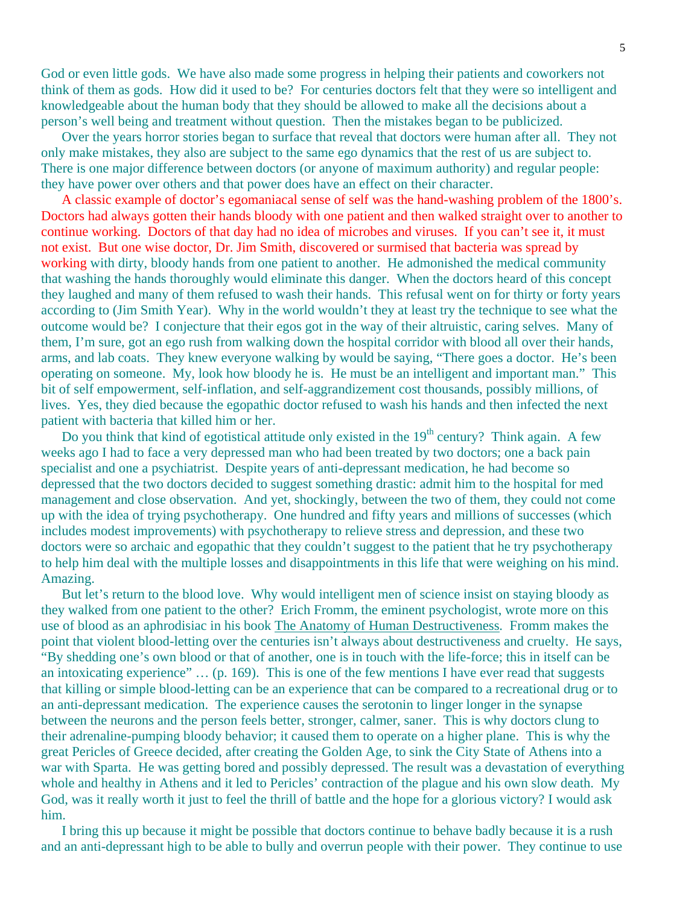God or even little gods. We have also made some progress in helping their patients and coworkers not think of them as gods. How did it used to be? For centuries doctors felt that they were so intelligent and knowledgeable about the human body that they should be allowed to make all the decisions about a person's well being and treatment without question. Then the mistakes began to be publicized.

 Over the years horror stories began to surface that reveal that doctors were human after all. They not only make mistakes, they also are subject to the same ego dynamics that the rest of us are subject to. There is one major difference between doctors (or anyone of maximum authority) and regular people: they have power over others and that power does have an effect on their character.

 A classic example of doctor's egomaniacal sense of self was the hand-washing problem of the 1800's. Doctors had always gotten their hands bloody with one patient and then walked straight over to another to continue working. Doctors of that day had no idea of microbes and viruses. If you can't see it, it must not exist. But one wise doctor, Dr. Jim Smith, discovered or surmised that bacteria was spread by working with dirty, bloody hands from one patient to another. He admonished the medical community that washing the hands thoroughly would eliminate this danger. When the doctors heard of this concept they laughed and many of them refused to wash their hands. This refusal went on for thirty or forty years according to (Jim Smith Year). Why in the world wouldn't they at least try the technique to see what the outcome would be? I conjecture that their egos got in the way of their altruistic, caring selves. Many of them, I'm sure, got an ego rush from walking down the hospital corridor with blood all over their hands, arms, and lab coats. They knew everyone walking by would be saying, "There goes a doctor. He's been operating on someone. My, look how bloody he is. He must be an intelligent and important man." This bit of self empowerment, self-inflation, and self-aggrandizement cost thousands, possibly millions, of lives. Yes, they died because the egopathic doctor refused to wash his hands and then infected the next patient with bacteria that killed him or her.

Do you think that kind of egotistical attitude only existed in the  $19<sup>th</sup>$  century? Think again. A few weeks ago I had to face a very depressed man who had been treated by two doctors; one a back pain specialist and one a psychiatrist. Despite years of anti-depressant medication, he had become so depressed that the two doctors decided to suggest something drastic: admit him to the hospital for med management and close observation. And yet, shockingly, between the two of them, they could not come up with the idea of trying psychotherapy. One hundred and fifty years and millions of successes (which includes modest improvements) with psychotherapy to relieve stress and depression, and these two doctors were so archaic and egopathic that they couldn't suggest to the patient that he try psychotherapy to help him deal with the multiple losses and disappointments in this life that were weighing on his mind. Amazing.

 But let's return to the blood love. Why would intelligent men of science insist on staying bloody as they walked from one patient to the other? Erich Fromm, the eminent psychologist, wrote more on this use of blood as an aphrodisiac in his book The Anatomy of Human Destructiveness. Fromm makes the point that violent blood-letting over the centuries isn't always about destructiveness and cruelty. He says, "By shedding one's own blood or that of another, one is in touch with the life-force; this in itself can be an intoxicating experience" … (p. 169). This is one of the few mentions I have ever read that suggests that killing or simple blood-letting can be an experience that can be compared to a recreational drug or to an anti-depressant medication. The experience causes the serotonin to linger longer in the synapse between the neurons and the person feels better, stronger, calmer, saner. This is why doctors clung to their adrenaline-pumping bloody behavior; it caused them to operate on a higher plane. This is why the great Pericles of Greece decided, after creating the Golden Age, to sink the City State of Athens into a war with Sparta. He was getting bored and possibly depressed. The result was a devastation of everything whole and healthy in Athens and it led to Pericles' contraction of the plague and his own slow death. My God, was it really worth it just to feel the thrill of battle and the hope for a glorious victory? I would ask him.

 I bring this up because it might be possible that doctors continue to behave badly because it is a rush and an anti-depressant high to be able to bully and overrun people with their power. They continue to use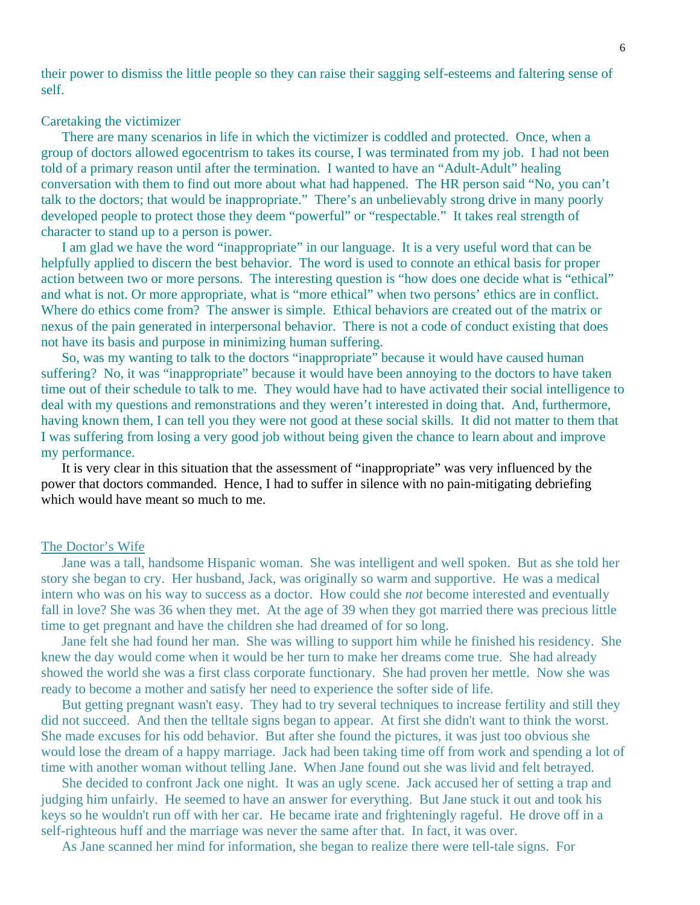their power to dismiss the little people so they can raise their sagging self-esteems and faltering sense of self.

#### Caretaking the victimizer

 There are many scenarios in life in which the victimizer is coddled and protected. Once, when a group of doctors allowed egocentrism to takes its course, I was terminated from my job. I had not been told of a primary reason until after the termination. I wanted to have an "Adult-Adult" healing conversation with them to find out more about what had happened. The HR person said "No, you can't talk to the doctors; that would be inappropriate." There's an unbelievably strong drive in many poorly developed people to protect those they deem "powerful" or "respectable." It takes real strength of character to stand up to a person is power.

 I am glad we have the word "inappropriate" in our language. It is a very useful word that can be helpfully applied to discern the best behavior. The word is used to connote an ethical basis for proper action between two or more persons. The interesting question is "how does one decide what is "ethical" and what is not. Or more appropriate, what is "more ethical" when two persons' ethics are in conflict. Where do ethics come from? The answer is simple. Ethical behaviors are created out of the matrix or nexus of the pain generated in interpersonal behavior. There is not a code of conduct existing that does not have its basis and purpose in minimizing human suffering.

 So, was my wanting to talk to the doctors "inappropriate" because it would have caused human suffering? No, it was "inappropriate" because it would have been annoying to the doctors to have taken time out of their schedule to talk to me. They would have had to have activated their social intelligence to deal with my questions and remonstrations and they weren't interested in doing that. And, furthermore, having known them, I can tell you they were not good at these social skills. It did not matter to them that I was suffering from losing a very good job without being given the chance to learn about and improve my performance.

 It is very clear in this situation that the assessment of "inappropriate" was very influenced by the power that doctors commanded. Hence, I had to suffer in silence with no pain-mitigating debriefing which would have meant so much to me.

#### The Doctor's Wife

 Jane was a tall, handsome Hispanic woman. She was intelligent and well spoken. But as she told her story she began to cry. Her husband, Jack, was originally so warm and supportive. He was a medical intern who was on his way to success as a doctor. How could she *not* become interested and eventually fall in love? She was 36 when they met. At the age of 39 when they got married there was precious little time to get pregnant and have the children she had dreamed of for so long.

 Jane felt she had found her man. She was willing to support him while he finished his residency. She knew the day would come when it would be her turn to make her dreams come true. She had already showed the world she was a first class corporate functionary. She had proven her mettle. Now she was ready to become a mother and satisfy her need to experience the softer side of life.

 But getting pregnant wasn't easy. They had to try several techniques to increase fertility and still they did not succeed. And then the telltale signs began to appear. At first she didn't want to think the worst. She made excuses for his odd behavior. But after she found the pictures, it was just too obvious she would lose the dream of a happy marriage. Jack had been taking time off from work and spending a lot of time with another woman without telling Jane. When Jane found out she was livid and felt betrayed.

 She decided to confront Jack one night. It was an ugly scene. Jack accused her of setting a trap and judging him unfairly. He seemed to have an answer for everything. But Jane stuck it out and took his keys so he wouldn't run off with her car. He became irate and frighteningly rageful. He drove off in a self-righteous huff and the marriage was never the same after that. In fact, it was over.

As Jane scanned her mind for information, she began to realize there were tell-tale signs. For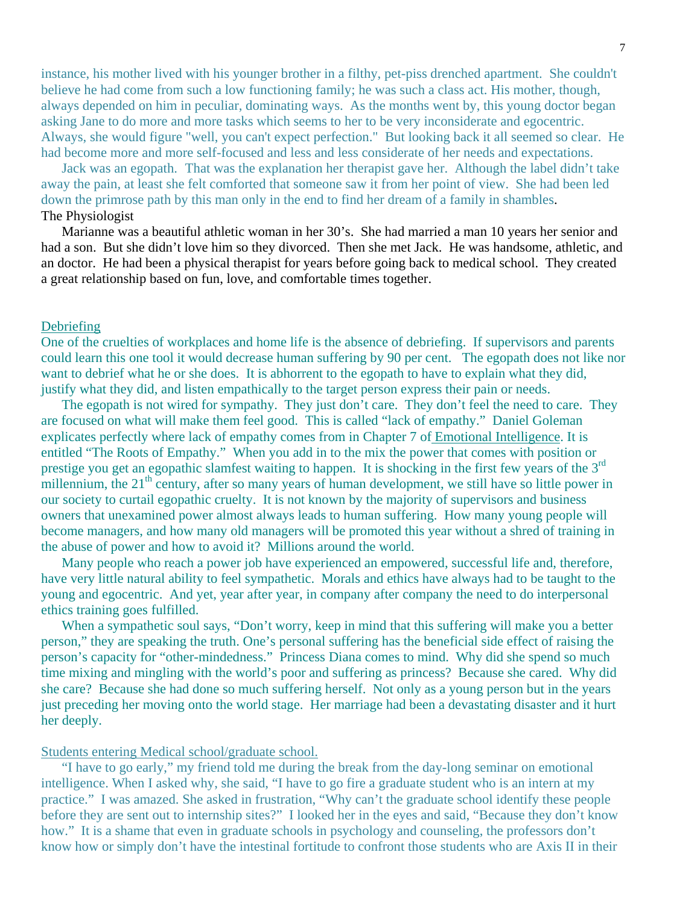instance, his mother lived with his younger brother in a filthy, pet-piss drenched apartment. She couldn't believe he had come from such a low functioning family; he was such a class act. His mother, though, always depended on him in peculiar, dominating ways. As the months went by, this young doctor began asking Jane to do more and more tasks which seems to her to be very inconsiderate and egocentric. Always, she would figure "well, you can't expect perfection." But looking back it all seemed so clear. He had become more and more self-focused and less and less considerate of her needs and expectations.

 Jack was an egopath. That was the explanation her therapist gave her. Although the label didn't take away the pain, at least she felt comforted that someone saw it from her point of view. She had been led down the primrose path by this man only in the end to find her dream of a family in shambles. The Physiologist

 Marianne was a beautiful athletic woman in her 30's. She had married a man 10 years her senior and had a son. But she didn't love him so they divorced. Then she met Jack. He was handsome, athletic, and an doctor. He had been a physical therapist for years before going back to medical school. They created a great relationship based on fun, love, and comfortable times together.

# Debriefing

One of the cruelties of workplaces and home life is the absence of debriefing. If supervisors and parents could learn this one tool it would decrease human suffering by 90 per cent. The egopath does not like nor want to debrief what he or she does. It is abhorrent to the egopath to have to explain what they did, justify what they did, and listen empathically to the target person express their pain or needs.

 The egopath is not wired for sympathy. They just don't care. They don't feel the need to care. They are focused on what will make them feel good. This is called "lack of empathy." Daniel Goleman explicates perfectly where lack of empathy comes from in Chapter 7 of Emotional Intelligence. It is entitled "The Roots of Empathy." When you add in to the mix the power that comes with position or prestige you get an egopathic slamfest waiting to happen. It is shocking in the first few years of the  $3<sup>rd</sup>$ millennium, the  $21<sup>th</sup>$  century, after so many years of human development, we still have so little power in our society to curtail egopathic cruelty. It is not known by the majority of supervisors and business owners that unexamined power almost always leads to human suffering. How many young people will become managers, and how many old managers will be promoted this year without a shred of training in the abuse of power and how to avoid it? Millions around the world.

 Many people who reach a power job have experienced an empowered, successful life and, therefore, have very little natural ability to feel sympathetic. Morals and ethics have always had to be taught to the young and egocentric. And yet, year after year, in company after company the need to do interpersonal ethics training goes fulfilled.

When a sympathetic soul says, "Don't worry, keep in mind that this suffering will make you a better person," they are speaking the truth. One's personal suffering has the beneficial side effect of raising the person's capacity for "other-mindedness." Princess Diana comes to mind. Why did she spend so much time mixing and mingling with the world's poor and suffering as princess? Because she cared. Why did she care? Because she had done so much suffering herself. Not only as a young person but in the years just preceding her moving onto the world stage. Her marriage had been a devastating disaster and it hurt her deeply.

### Students entering Medical school/graduate school.

 "I have to go early," my friend told me during the break from the day-long seminar on emotional intelligence. When I asked why, she said, "I have to go fire a graduate student who is an intern at my practice." I was amazed. She asked in frustration, "Why can't the graduate school identify these people before they are sent out to internship sites?" I looked her in the eyes and said, "Because they don't know how." It is a shame that even in graduate schools in psychology and counseling, the professors don't know how or simply don't have the intestinal fortitude to confront those students who are Axis II in their